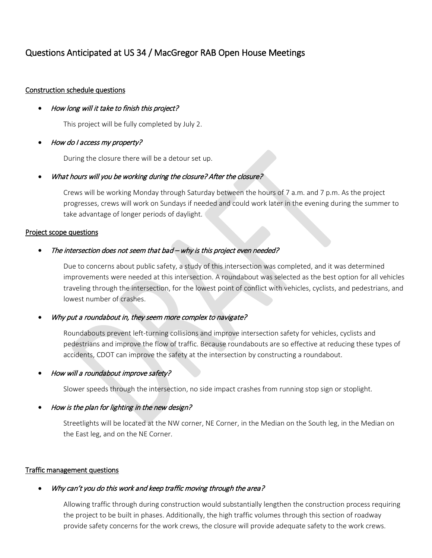# Questions Anticipated at US 34 / MacGregor RAB Open House Meetings

#### Construction schedule questions

#### • How long will it take to finish this project?

This project will be fully completed by July 2.

#### • How do I access my property?

During the closure there will be a detour set up.

## What hours will you be working during the closure? After the closure?

Crews will be working Monday through Saturday between the hours of 7 a.m. and 7 p.m. As the project progresses, crews will work on Sundays if needed and could work later in the evening during the summer to take advantage of longer periods of daylight.

#### Project scope questions

## The intersection does not seem that bad – why is this project even needed?

Due to concerns about public safety, a study of this intersection was completed, and it was determined improvements were needed at this intersection. A roundabout was selected as the best option for all vehicles traveling through the intersection, for the lowest point of conflict with vehicles, cyclists, and pedestrians, and lowest number of crashes.

## Why put a roundabout in, they seem more complex to navigate?

Roundabouts prevent left-turning collisions and improve intersection safety for vehicles, cyclists and pedestrians and improve the flow of traffic. Because roundabouts are so effective at reducing these types of accidents, CDOT can improve the safety at the intersection by constructing a roundabout.

#### • How will a roundabout improve safety?

Slower speeds through the intersection, no side impact crashes from running stop sign or stoplight.

## • How is the plan for lighting in the new design?

Streetlights will be located at the NW corner, NE Corner, in the Median on the South leg, in the Median on the East leg, and on the NE Corner.

#### Traffic management questions

## Why can't you do this work and keep traffic moving through the area?

Allowing traffic through during construction would substantially lengthen the construction process requiring the project to be built in phases. Additionally, the high traffic volumes through this section of roadway provide safety concerns for the work crews, the closure will provide adequate safety to the work crews.